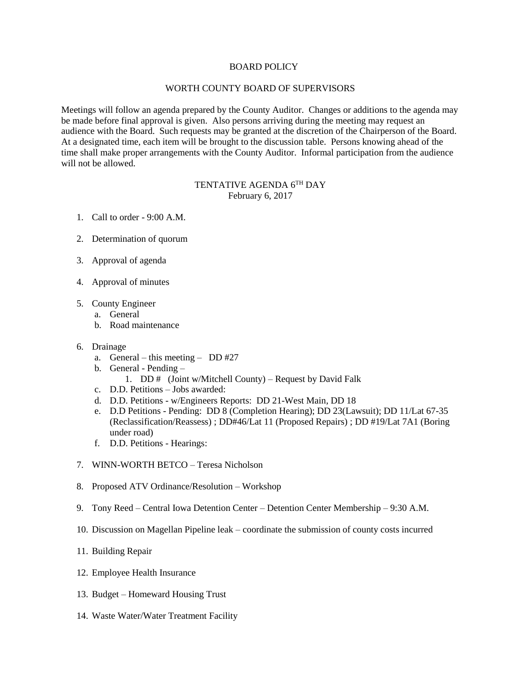## BOARD POLICY

## WORTH COUNTY BOARD OF SUPERVISORS

Meetings will follow an agenda prepared by the County Auditor. Changes or additions to the agenda may be made before final approval is given. Also persons arriving during the meeting may request an audience with the Board. Such requests may be granted at the discretion of the Chairperson of the Board. At a designated time, each item will be brought to the discussion table. Persons knowing ahead of the time shall make proper arrangements with the County Auditor. Informal participation from the audience will not be allowed.

## TENTATIVE AGENDA 6TH DAY February 6, 2017

- 1. Call to order 9:00 A.M.
- 2. Determination of quorum
- 3. Approval of agenda
- 4. Approval of minutes
- 5. County Engineer
	- a. General
	- b. Road maintenance
- 6. Drainage
	- a. General this meeting DD #27
	- b. General Pending
		- 1. DD  $#$  (Joint w/Mitchell County) Request by David Falk
	- c. D.D. Petitions Jobs awarded:
	- d. D.D. Petitions w/Engineers Reports: DD 21-West Main, DD 18
	- e. D.D Petitions Pending: DD 8 (Completion Hearing); DD 23(Lawsuit); DD 11/Lat 67-35 (Reclassification/Reassess) ; DD#46/Lat 11 (Proposed Repairs) ; DD #19/Lat 7A1 (Boring under road)
	- f. D.D. Petitions Hearings:
- 7. WINN-WORTH BETCO Teresa Nicholson
- 8. Proposed ATV Ordinance/Resolution Workshop
- 9. Tony Reed Central Iowa Detention Center Detention Center Membership 9:30 A.M.
- 10. Discussion on Magellan Pipeline leak coordinate the submission of county costs incurred
- 11. Building Repair
- 12. Employee Health Insurance
- 13. Budget Homeward Housing Trust
- 14. Waste Water/Water Treatment Facility